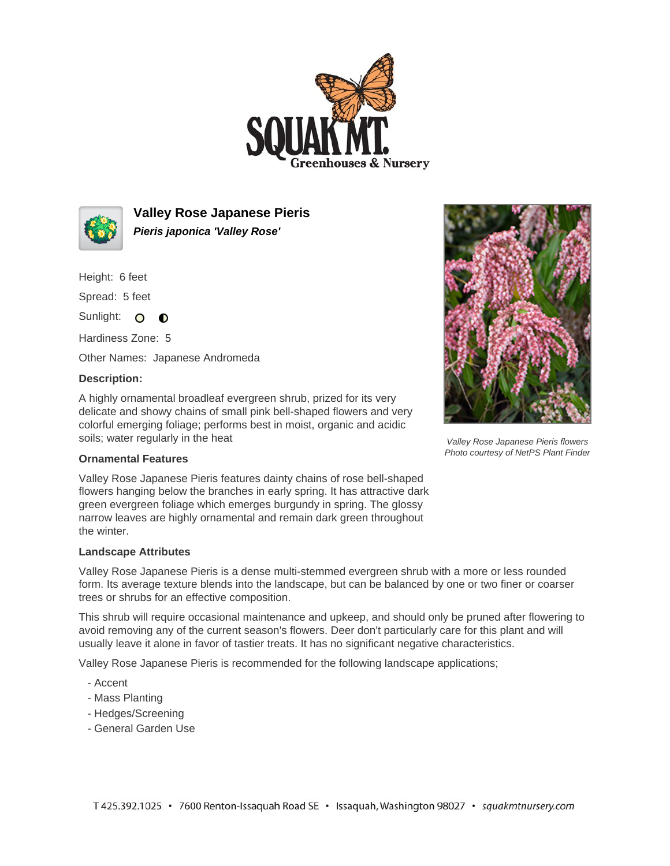



**Valley Rose Japanese Pieris Pieris japonica 'Valley Rose'**

Height: 6 feet

Spread: 5 feet

Sunlight: O O

Hardiness Zone: 5

Other Names: Japanese Andromeda

## **Description:**

A highly ornamental broadleaf evergreen shrub, prized for its very delicate and showy chains of small pink bell-shaped flowers and very colorful emerging foliage; performs best in moist, organic and acidic soils; water regularly in the heat



Valley Rose Japanese Pieris flowers Photo courtesy of NetPS Plant Finder

## **Ornamental Features**

Valley Rose Japanese Pieris features dainty chains of rose bell-shaped flowers hanging below the branches in early spring. It has attractive dark green evergreen foliage which emerges burgundy in spring. The glossy narrow leaves are highly ornamental and remain dark green throughout the winter.

## **Landscape Attributes**

Valley Rose Japanese Pieris is a dense multi-stemmed evergreen shrub with a more or less rounded form. Its average texture blends into the landscape, but can be balanced by one or two finer or coarser trees or shrubs for an effective composition.

This shrub will require occasional maintenance and upkeep, and should only be pruned after flowering to avoid removing any of the current season's flowers. Deer don't particularly care for this plant and will usually leave it alone in favor of tastier treats. It has no significant negative characteristics.

Valley Rose Japanese Pieris is recommended for the following landscape applications;

- Accent
- Mass Planting
- Hedges/Screening
- General Garden Use